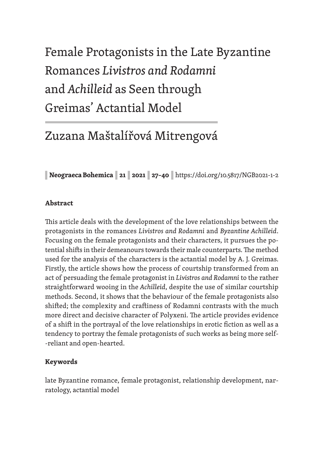# Female Protagonists in the Late Byzantine Romances *Livistros and Rodamni* and *Achilleid* as Seen through Greimas' Actantial Model

# Zuzana Maštalířová Mitrengová

**| Neograeca Bohemica | 21 | 2021 | 27–40 |** https://doi.org/10.5817/NGB2021-1-2

# **Abstract**

This article deals with the development of the love relationships between the protagonists in the romances *Livistros and Rodamni* and *Byzantine Achilleid*. Focusing on the female protagonists and their characters, it pursues the potential shifts in their demeanours towards their male counterparts. The method used for the analysis of the characters is the actantial model by A. J. Greimas. Firstly, the article shows how the process of courtship transformed from an act of persuading the female protagonist in *Livistros and Rodamni* to the rather straightforward wooing in the *Achilleid*, despite the use of similar courtship methods. Second, it shows that the behaviour of the female protagonists also shifted; the complexity and craftiness of Rodamni contrasts with the much more direct and decisive character of Polyxeni. The article provides evidence of a shift in the portrayal of the love relationships in erotic fiction as well as a tendency to portray the female protagonists of such works as being more self- -reliant and open-hearted.

# **Keywords**

late Byzantine romance, female protagonist, relationship development, narratology, actantial model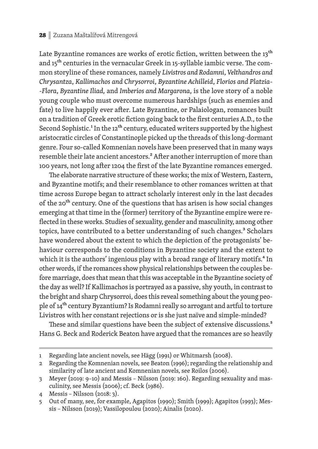Late Byzantine romances are works of erotic fiction, written between the 13<sup>th</sup> and 15<sup>th</sup> centuries in the vernacular Greek in 15-syllable iambic verse. The common storyline of these romances, namely *Livistros and Rodamni*, *Velthandros and Chrysantza*, *Kallimachos and Chrysorroi*, *Byzantine Achilleid*, *Florios and Platzia- -Flora*, *Byzantine Iliad,* and *Imberios and Margarona*, is the love story of a noble young couple who must overcome numerous hardships (such as enemies and fate) to live happily ever after. Late Byzantine, or Palaiologan, romances built on a tradition of Greek erotic fiction going back to the first centuries A.D., to the Second Sophistic.<sup>1</sup> In the 12<sup>th</sup> century, educated writers supported by the highest aristocratic circles of Constantinople picked up the threads of this long-dormant genre. Four so-called Komnenian novels have been preserved that in many ways resemble their late ancient ancestors.<sup>2</sup> After another interruption of more than 100 years, not long after 1204 the first of the late Byzantine romances emerged.

The elaborate narrative structure of these works; the mix of Western, Eastern, and Byzantine motifs; and their resemblance to other romances written at that time across Europe began to attract scholarly interest only in the last decades of the 20<sup>th</sup> century. One of the questions that has arisen is how social changes emerging at that time in the (former) territory of the Byzantine empire were reflected in these works. Studies of sexuality, gender and masculinity, among other topics, have contributed to a better understanding of such changes.<sup>3</sup> Scholars have wondered about the extent to which the depiction of the protagonists' behaviour corresponds to the conditions in Byzantine society and the extent to which it is the authors' ingenious play with a broad range of literary motifs.<sup>4</sup> In other words, if the romances show physical relationships between the couples before marriage, does that mean that this was acceptable in the Byzantine society of the day as well? If Kallimachos is portrayed as a passive, shy youth, in contrast to the bright and sharp Chrysorroi, does this reveal something about the young people of 14<sup>th</sup> century Byzantium? Is Rodamni really so arrogant and artful to torture Livistros with her constant rejections or is she just naïve and simple-minded?

These and similar questions have been the subject of extensive discussions.<sup>5</sup> Hans G. Beck and Roderick Beaton have argued that the romances are so heavily

<sup>1</sup> Regarding late ancient novels, see Hägg (1991) or Whitmarsh (2008).

<sup>2</sup> Regarding the Komnenian novels, see Beaton (1996); regarding the relationship and similarity of late ancient and Komnenian novels, see Roilos (2006).

<sup>3</sup> Meyer (2019: 9–10) and Messis – Nilsson (2019: 160). Regarding sexuality and masculinity, see Messis (2006); cf. Beck (1986).

<sup>4</sup> Messis – Nilsson (2018: 3).

<sup>5</sup> Out of many, see, for example, Agapitos (1990); Smith (1999); Agapitos (1993); Messis – Nilsson (2019); Vassilopoulou (2020); Ainalis (2020).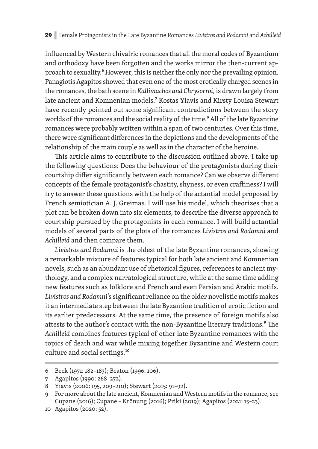influenced by Western chivalric romances that all the moral codes of Byzantium and orthodoxy have been forgotten and the works mirror the then-current approach to sexuality.<sup>6</sup> However, this is neither the only nor the prevailing opinion. Panagiotis Agapitos showed that even one of the most erotically charged scenes in the romances, the bath scene in *Kallimachos and Chrysorroi*, is drawn largely from late ancient and Komnenian models.<sup>7</sup> Kostas Yiavis and Kirsty Louisa Stewart have recently pointed out some significant contradictions between the story worlds of the romances and the social reality of the time.<sup>8</sup> All of the late Byzantine romances were probably written within a span of two centuries. Over this time, there were significant differences in the depictions and the developments of the relationship of the main couple as well as in the character of the heroine.

This article aims to contribute to the discussion outlined above. I take up the following questions: Does the behaviour of the protagonists during their courtship differ significantly between each romance? Can we observe different concepts of the female protagonist's chastity, shyness, or even craftiness? I will try to answer these questions with the help of the actantial model proposed by French semiotician A. J. Greimas. I will use his model, which theorizes that a plot can be broken down into six elements, to describe the diverse approach to courtship pursued by the protagonists in each romance. I will build actantial models of several parts of the plots of the romances *Livistros and Rodamni* and *Achilleid* and then compare them.

*Livistros and Rodamni* is the oldest of the late Byzantine romances, showing a remarkable mixture of features typical for both late ancient and Komnenian novels, such as an abundant use of rhetorical figures, references to ancient mythology, and a complex narratological structure, while at the same time adding new features such as folklore and French and even Persian and Arabic motifs. Livistros and Rodamni's significant reliance on the older novelistic motifs makes it an intermediate step between the late Byzantine tradition of erotic fiction and its earlier predecessors. At the same time, the presence of foreign motifs also attests to the author's contact with the non-Byzantine literary traditions.<sup>9</sup> The *Achilleid* combines features typical of other late Byzantine romances with the topics of death and war while mixing together Byzantine and Western court culture and social settings.<sup>10</sup>

<sup>6</sup> Beck (1971: 182–183); Beaton (1996: 106).

<sup>7</sup> Agapitos (1990: 268–272).

<sup>8</sup> Yiavis (2006: 195, 209–210); Stewart (2015: 91–92).

<sup>9</sup> For more about the late ancient, Komnenian and Western motifs in the romance, see Cupane (2016); Cupane – Krönung (2016); Priki (2019); Agapitos (2021: 15–23).

<sup>10</sup> Agapitos (2020: 52).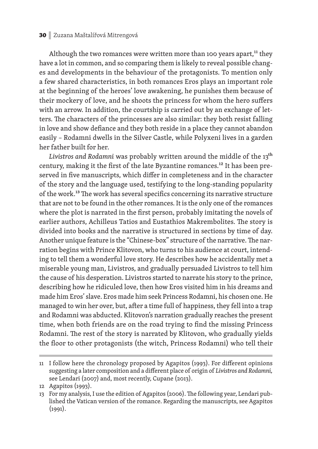#### 30 **|** Zuzana Maštalířová Mitrengová

Although the two romances were written more than 100 years apart, $<sup>11</sup>$  they</sup> have a lot in common, and so comparing them is likely to reveal possible changes and developments in the behaviour of the protagonists. To mention only a few shared characteristics, in both romances Eros plays an important role at the beginning of the heroes' love awakening, he punishes them because of their mockery of love, and he shoots the princess for whom the hero suffers with an arrow. In addition, the courtship is carried out by an exchange of letters. The characters of the princesses are also similar: they both resist falling in love and show defiance and they both reside in a place they cannot abandon easily – Rodamni dwells in the Silver Castle, while Polyxeni lives in a garden her father built for her.

Livistros and Rodamni was probably written around the middle of the 13<sup>th</sup> century, making it the first of the late Byzantine romances.<sup>12</sup> It has been preserved in five manuscripts, which differ in completeness and in the character of the story and the language used, testifying to the long-standing popularity of the work.<sup>13</sup> The work has several specifics concerning its narrative structure that are not to be found in the other romances. It is the only one of the romances where the plot is narrated in the first person, probably imitating the novels of earlier authors, Achilleus Tatios and Eustathios Makrembolites. The story is divided into books and the narrative is structured in sections by time of day. Another unique feature is the "Chinese-box" structure of the narrative. The narration begins with Prince Klitovon, who turns to his audience at court, intending to tell them a wonderful love story. He describes how he accidentally met a miserable young man, Livistros, and gradually persuaded Livistros to tell him the cause of his desperation. Livistros started to narrate his story to the prince, describing how he ridiculed love, then how Eros visited him in his dreams and made him Eros' slave. Eros made him seek Princess Rodamni, his chosen one. He managed to win her over, but, after a time full of happiness, they fell into a trap and Rodamni was abducted. Klitovon's narration gradually reaches the present time, when both friends are on the road trying to find the missing Princess Rodamni. The rest of the story is narrated by Klitovon, who gradually vields the floor to other protagonists (the witch, Princess Rodamni) who tell their

<sup>11</sup> I follow here the chronology proposed by Agapitos (1993). For different opinions suggesting a later composition and a different place of origin of *Livistros and Rodamni*, see Lendari (2007) and, most recently, Cupane (2013).

<sup>12</sup> Agapitos (1993).

<sup>13</sup> For my analysis, I use the edition of Agapitos (2006). The following year, Lendari published the Vatican version of the romance. Regarding the manuscripts, see Agapitos (1991).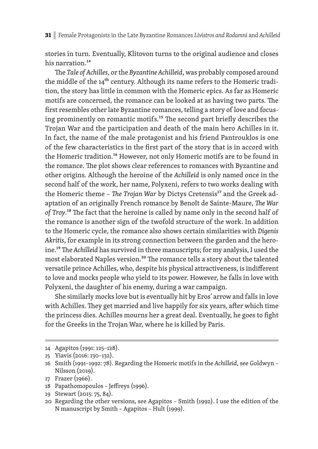stories in turn. Eventually, Klitovon turns to the original audience and closes his narration.<sup>14</sup>

The *Tale of Achilles*, or the *Byzantine Achilleid*, was probably composed around the middle of the 14<sup>th</sup> century. Although its name refers to the Homeric tradition, the story has little in common with the Homeric epics. As far as Homeric motifs are concerned, the romance can be looked at as having two parts. The first resembles other late Byzantine romances, telling a story of love and focusing prominently on romantic motifs.<sup>15</sup> The second part briefly describes the Trojan War and the participation and death of the main hero Achilles in it. In fact, the name of the male protagonist and his friend Pantrouklos is one of the few characteristics in the first part of the story that is in accord with the Homeric tradition.<sup>16</sup> However, not only Homeric motifs are to be found in the romance. The plot shows clear references to romances with Byzantine and other origins. Although the heroine of the *Achilleid* is only named once in the second half of the work, her name, Polyxeni, refers to two works dealing with the Homeric theme - *The Trojan War* by Dictys Cretensis<sup>17</sup> and the Greek adaptation of an originally French romance by Benoît de Sainte-Maure, *The War* of Troy.<sup>18</sup> The fact that the heroine is called by name only in the second half of the romance is another sign of the twofold structure of the work. In addition to the Homeric cycle, the romance also shows certain similarities with *Digenis Akritis*, for example in its strong connection between the garden and the heroine.<sup>19</sup> The Achilleid has survived in three manuscripts; for my analysis, I used the most elaborated Naples version.<sup>20</sup> The romance tells a story about the talented versatile prince Achilles, who, despite his physical attractiveness, is indifferent to love and mocks people who yield to its power. However, he falls in love with Polyxeni, the daughter of his enemy, during a war campaign.

She similarly mocks love but is eventually hit by Eros' arrow and falls in love with Achilles. They get married and live happily for six years, after which time the princess dies. Achilles mourns her a great deal. Eventually, he goes to fight for the Greeks in the Trojan War, where he is killed by Paris.

<sup>14</sup> Agapitos (1991: 125 –128).

<sup>15</sup> Yiavis (2016: 130–132).

<sup>16</sup> Smith (1991–1992: 78). Regarding the Homeric motifs in the *Achilleid*, see Goldwyn – Nilsson (2019).

<sup>17</sup> Frazer (1966).

<sup>18</sup> Papathomopoulos - Jeffreys (1996).

<sup>19</sup> Stewart (2015: 75, 84).

<sup>20</sup> Regarding the other versions, see Agapitos – Smith (1992). I use the edition of the N manuscript by Smith - Agapitos - Hult (1999).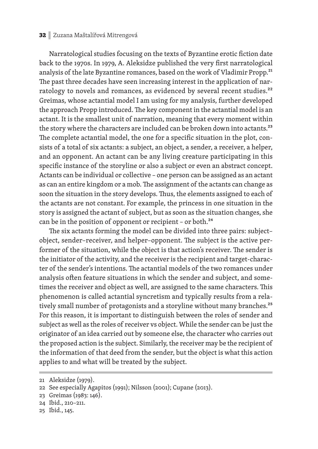#### 32 **|** Zuzana Maštalířová Mitrengová

Narratological studies focusing on the texts of Byzantine erotic fiction date back to the 1970s. In 1979, A. Aleksidze published the very first narratological analysis of the late Byzantine romances, based on the work of Vladimir Propp.<sup>21</sup> The past three decades have seen increasing interest in the application of narratology to novels and romances, as evidenced by several recent studies.<sup>22</sup> Greimas, whose actantial model I am using for my analysis, further developed the approach Propp introduced. The key component in the actantial model is an actant. It is the smallest unit of narration, meaning that every moment within the story where the characters are included can be broken down into actants.<sup>23</sup> The complete actantial model, the one for a specific situation in the plot, consists of a total of six actants: a subject, an object, a sender, a receiver, a helper, and an opponent. An actant can be any living creature participating in this specific instance of the storyline or also a subject or even an abstract concept. Actants can be individual or collective – one person can be assigned as an actant as can an entire kingdom or a mob. The assignment of the actants can change as soon the situation in the story develops. Thus, the elements assigned to each of the actants are not constant. For example, the princess in one situation in the story is assigned the actant of subject, but as soon as the situation changes, she can be in the position of opponent or recipient - or both.<sup>24</sup>

The six actants forming the model can be divided into three pairs: subjectobject, sender-receiver, and helper-opponent. The subject is the active performer of the situation, while the object is that action's receiver. The sender is the initiator of the activity, and the receiver is the recipient and target-character of the sender's intentions. The actantial models of the two romances under analysis often feature situations in which the sender and subject, and sometimes the receiver and object as well, are assigned to the same characters. This phenomenon is called actantial syncretism and typically results from a relatively small number of protagonists and a storyline without many branches.<sup>25</sup> For this reason, it is important to distinguish between the roles of sender and subject as well as the roles of receiver vs object. While the sender can be just the originator of an idea carried out by someone else, the character who carries out the proposed action is the subject. Similarly, the receiver may be the recipient of the information of that deed from the sender, but the object is what this action applies to and what will be treated by the subject.

<sup>21</sup> Aleksidze (1979).

<sup>22</sup> See especially Agapitos (1991); Nilsson (2001); Cupane (2013).

<sup>23</sup> Greimas (1983: 146).

<sup>24</sup> Ibid., 210–211.

<sup>25</sup> Ibid., 145.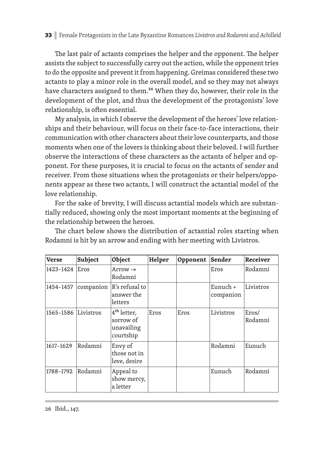The last pair of actants comprises the helper and the opponent. The helper assists the subject to successfully carry out the action, while the opponent tries to do the opposite and prevent it from happening. Greimas considered these two actants to play a minor role in the overall model, and so they may not always have characters assigned to them.<sup>26</sup> When they do, however, their role in the development of the plot, and thus the development of the protagonists' love relationship, is often essential.

My analysis, in which I observe the development of the heroes' love relationships and their behaviour, will focus on their face-to-face interactions, their communication with other characters about their love counterparts, and those moments when one of the lovers is thinking about their beloved. I will further observe the interactions of these characters as the actants of helper and opponent. For these purposes, it is crucial to focus on the actants of sender and receiver. From those situations when the protagonists or their helpers/opponents appear as these two actants, I will construct the actantial model of the love relationship.

For the sake of brevity, I will discuss actantial models which are substantially reduced, showing only the most important moments at the beginning of the relationship between the heroes.

| <b>Verse</b> | Subject   | Object                                                          | Helper | Opponent | Sender                  | <b>Receiver</b>  |
|--------------|-----------|-----------------------------------------------------------------|--------|----------|-------------------------|------------------|
| 1423-1424    | Eros      | $Arrow \rightarrow$<br>Rodamni                                  |        |          | Eros                    | Rodamni          |
| 1454-1457    | companion | R's refusal to<br>answer the<br>letters                         |        |          | Eunuch $+$<br>companion | Livistros        |
| 1565-1586    | Livistros | 4 <sup>th</sup> letter,<br>sorrow of<br>unavailing<br>courtship | Eros   | Eros     | Livistros               | Eros/<br>Rodamni |
| 1617-1629    | Rodamni   | Envy of<br>those not in<br>love, desire                         |        |          | Rodamni                 | Eunuch           |
| 1788-1792    | Rodamni   | Appeal to<br>show mercy,<br>a letter                            |        |          | Eunuch                  | Rodamni          |

The chart below shows the distribution of actantial roles starting when Rodamni is hit by an arrow and ending with her meeting with Livistros.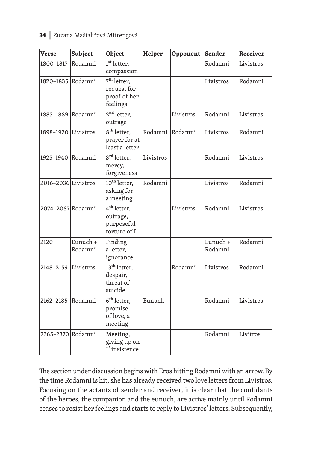# 34 **|** Zuzana Maštalířová Mitrengová

| <b>Verse</b>        | Subject             | Object                                                             | Helper    | Opponent  | Sender              | Receiver  |
|---------------------|---------------------|--------------------------------------------------------------------|-----------|-----------|---------------------|-----------|
| 1800-1817           | Rodamni             | 1 <sup>st</sup> letter,<br>compassion                              |           |           | Rodamni             | Livistros |
| 1820-1835           | Rodamni             | 7 <sup>th</sup> letter,<br>request for<br>proof of her<br>feelings |           |           | Livistros           | Rodamni   |
| 1883-1889           | Rodamni             | $2nd$ letter,<br>outrage                                           |           | Livistros | Rodamni             | Livistros |
| 1898-1920 Livistros |                     | $8th$ letter,<br>prayer for at<br>least a letter                   | Rodamni   | Rodamni   | Livistros           | Rodamni   |
| 1925-1940 Rodamni   |                     | 3 <sup>rd</sup> letter,<br>mercy,<br>forgiveness                   | Livistros |           | Rodamni             | Livistros |
| 2016-2036 Livistros |                     | 10 <sup>th</sup> letter,<br>asking for<br>a meeting                | Rodamni   |           | Livistros           | Rodamni   |
| 2074-2087 Rodamni   |                     | 4 <sup>th</sup> letter,<br>outrage,<br>purposeful<br>torture of L  |           | Livistros | Rodamni             | Livistros |
| 2120                | Eunuch +<br>Rodamni | Finding<br>a letter,<br>ignorance                                  |           |           | Eunuch +<br>Rodamni | Rodamni   |
| 2148-2159           | Livistros           | 13 <sup>th</sup> letter,<br>despair,<br>threat of<br>suicide       |           | Rodamni   | Livistros           | Rodamni   |
| 2162-2185           | Rodamni             | 6 <sup>th</sup> letter,<br>promise<br>of love, a<br>meeting        | Eunuch    |           | Rodamni             | Livistros |
| 2365-2370 Rodamni   |                     | Meeting,<br>giving up on<br>L'insistence                           |           |           | Rodamni             | Livitros  |

The section under discussion begins with Eros hitting Rodamni with an arrow. By the time Rodamni is hit, she has already received two love letters from Livistros. Focusing on the actants of sender and receiver, it is clear that the confidants of the heroes, the companion and the eunuch, are active mainly until Rodamni ceases to resist her feelings and starts to reply to Livistros' letters. Subsequently,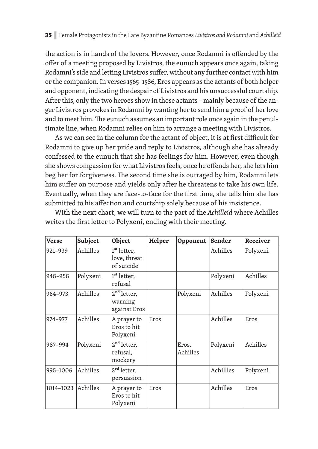the action is in hands of the lovers. However, once Rodamni is offended by the offer of a meeting proposed by Livistros, the eunuch appears once again, taking Rodamni's side and letting Livistros suffer, without any further contact with him or the companion. In verses 1565–1586, Eros appears as the actants of both helper and opponent, indicating the despair of Livistros and his unsuccessful courtship. After this, only the two heroes show in those actants - mainly because of the anger Livistros provokes in Rodamni by wanting her to send him a proof of her love and to meet him. The eunuch assumes an important role once again in the penultimate line, when Rodamni relies on him to arrange a meeting with Livistros.

As we can see in the column for the actant of object, it is at first difficult for Rodamni to give up her pride and reply to Livistros, although she has already confessed to the eunuch that she has feelings for him. However, even though she shows compassion for what Livistros feels, once he offends her, she lets him beg her for forgiveness. The second time she is outraged by him, Rodamni lets him suffer on purpose and yields only after he threatens to take his own life. Eventually, when they are face-to-face for the first time, she tells him she has submitted to his affection and courtship solely because of his insistence.

| Verse     | Subject  | Object                                                | Helper | Opponent          | Sender    | Receiver |
|-----------|----------|-------------------------------------------------------|--------|-------------------|-----------|----------|
| 921-939   | Achilles | 1 <sup>st</sup> letter,<br>love, threat<br>of suicide |        |                   | Achilles  | Polyxeni |
| 948-958   | Polyxeni | 1 <sup>st</sup> letter,<br>refusal                    |        |                   | Polyxeni  | Achilles |
| 964-973   | Achilles | 2 <sup>nd</sup> letter,<br>warning<br>against Eros    |        | Polyxeni          | Achilles  | Polyxeni |
| 974-977   | Achilles | A prayer to<br>Eros to hit<br>Polyxeni                | Eros   |                   | Achilles  | Eros     |
| 987-994   | Polyxeni | 2 <sup>nd</sup> letter,<br>refusal,<br>mockery        |        | Eros,<br>Achilles | Polyxeni  | Achilles |
| 995-1006  | Achilles | 3 <sup>rd</sup> letter,<br>persuasion                 |        |                   | Achillles | Polyxeni |
| 1014-1023 | Achilles | A prayer to<br>Eros to hit<br>Polyxeni                | Eros   |                   | Achilles  | Eros     |

With the next chart, we will turn to the part of the *Achilleid* where Achilles writes the first letter to Polyxeni, ending with their meeting.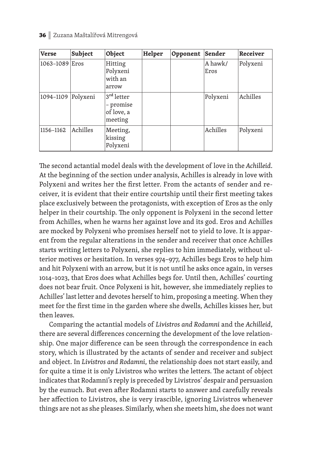| <b>Verse</b>       | Subject  | Object                                                       | Helper | Opponent | Sender          | Receiver |
|--------------------|----------|--------------------------------------------------------------|--------|----------|-----------------|----------|
| 1063-1089 Eros     |          | Hitting<br>Polyxeni<br>with an<br>arrow                      |        |          | A hawk/<br>Eros | Polyxeni |
| 1094-1109 Polyxeni |          | 3 <sup>rd</sup> letter<br>- promise<br>of love, a<br>meeting |        |          | Polyxeni        | Achilles |
| 1156-1162          | Achilles | Meeting,<br>kissing<br>Polyxeni                              |        |          | Achilles        | Polyxeni |

The second actantial model deals with the development of love in the *Achilleid*. At the beginning of the section under analysis, Achilles is already in love with Polyxeni and writes her the first letter. From the actants of sender and receiver, it is evident that their entire courtship until their first meeting takes place exclusively between the protagonists, with exception of Eros as the only helper in their courtship. The only opponent is Polyxeni in the second letter from Achilles, when he warns her against love and its god. Eros and Achilles are mocked by Polyxeni who promises herself not to yield to love. It is apparent from the regular alterations in the sender and receiver that once Achilles starts writing letters to Polyxeni, she replies to him immediately, without ulterior motives or hesitation. In verses 974–977, Achilles begs Eros to help him and hit Polyxeni with an arrow, but it is not until he asks once again, in verses 1014–1023, that Eros does what Achilles begs for. Until then, Achilles' courting does not bear fruit. Once Polyxeni is hit, however, she immediately replies to Achilles' last letter and devotes herself to him, proposing a meeting. When they meet for the first time in the garden where she dwells, Achilles kisses her, but then leaves.

Comparing the actantial models of *Livistros and Rodamni* and the *Achilleid*, there are several differences concerning the development of the love relationship. One major difference can be seen through the correspondence in each story, which is illustrated by the actants of sender and receiver and subject and object. In *Livistros and Rodamni*, the relationship does not start easily, and for quite a time it is only Livistros who writes the letters. The actant of object indicates that Rodamni's reply is preceded by Livistros' despair and persuasion by the eunuch. But even after Rodamni starts to answer and carefully reveals her affection to Livistros, she is very irascible, ignoring Livistros whenever things are not as she pleases. Similarly, when she meets him, she does not want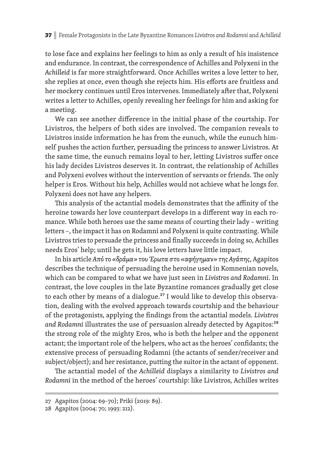to lose face and explains her feelings to him as only a result of his insistence and endurance. In contrast, the correspondence of Achilles and Polyxeni in the *Achilleid* is far more straightforward. Once Achilles writes a love letter to her, she replies at once, even though she rejects him. His efforts are fruitless and her mockery continues until Eros intervenes. Immediately after that, Polyxeni writes a letter to Achilles, openly revealing her feelings for him and asking for a meeting.

We can see another difference in the initial phase of the courtship. For Livistros, the helpers of both sides are involved. The companion reveals to Livistros inside information he has from the eunuch, while the eunuch himself pushes the action further, persuading the princess to answer Livistros. At the same time, the eunuch remains loyal to her, letting Livistros suffer once his lady decides Livistros deserves it. In contrast, the relationship of Achilles and Polyxeni evolves without the intervention of servants or friends. The only helper is Eros. Without his help, Achilles would not achieve what he longs for. Polyxeni does not have any helpers.

This analysis of the actantial models demonstrates that the affinity of the heroine towards her love counterpart develops in a different way in each romance. While both heroes use the same means of courting their lady – writing letters –, the impact it has on Rodamni and Polyxeni is quite contrasting. While Livistros tries to persuade the princess and finally succeeds in doing so, Achilles needs Eros' help; until he gets it, his love letters have little impact.

In his article *Από το «δράμα» του Έρωτα στο «αφήγημαν» της Αγάπης*, Agapitos describes the technique of persuading the heroine used in Komnenian novels, which can be compared to what we have just seen in *Livistros and Rodamni*. In contrast, the love couples in the late Byzantine romances gradually get close to each other by means of a dialogue.<sup>27</sup> I would like to develop this observation, dealing with the evolved approach towards courtship and the behaviour of the protagonists, applying the findings from the actantial models. Livistros and Rodamni illustrates the use of persuasion already detected by Agapitos:<sup>28</sup> the strong role of the mighty Eros, who is both the helper and the opponent actant; the important role of the helpers, who act as the heroes' confidants; the extensive process of persuading Rodamni (the actants of sender/receiver and subject/object); and her resistance, putting the suitor in the actant of opponent.

The actantial model of the *Achilleid* displays a similarity to *Livistros and Rodamni* in the method of the heroes' courtship: like Livistros, Achilles writes

<sup>27</sup> Agapitos (2004: 69–70); Priki (2019: 89).

<sup>28</sup> Agapitos (2004: 70; 1993: 212).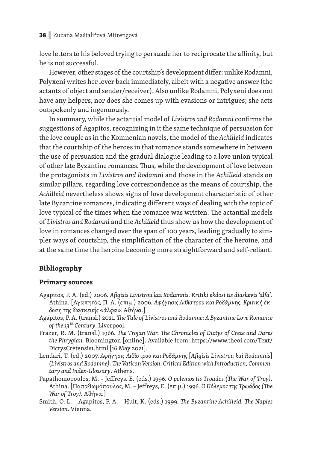love letters to his beloved trying to persuade her to reciprocate the affinity, but he is not successful.

However, other stages of the courtship's development differ: unlike Rodamni, Polyxeni writes her lover back immediately, albeit with a negative answer (the actants of object and sender/receiver). Also unlike Rodamni, Polyxeni does not have any helpers, nor does she comes up with evasions or intrigues; she acts outspokenly and ingenuously.

In summary, while the actantial model of *Livistros and Rodamni* confirms the suggestions of Agapitos, recognizing in it the same technique of persuasion for the love couple as in the Komnenian novels, the model of the *Achilleid* indicates that the courtship of the heroes in that romance stands somewhere in between the use of persuasion and the gradual dialogue leading to a love union typical of other late Byzantine romances. Thus, while the development of love between the protagonists in *Livistros and Rodamni* and those in the *Achilleid* stands on similar pillars, regarding love correspondence as the means of courtship, the *Achilleid* nevertheless shows signs of love development characteristic of other late Byzantine romances, indicating different ways of dealing with the topic of love typical of the times when the romance was written. The actantial models of *Livistros and Rodamni* and the *Achilleid* thus show us how the development of love in romances changed over the span of 100 years, leading gradually to simpler ways of courtship, the simplification of the character of the heroine, and at the same time the heroine becoming more straightforward and self-reliant.

# **Bibliography**

# **Primary sources**

- Agapitos, P. A. (ed.) 2006. *Afi gisis Livistrou kai Rodamnis. Kritiki ekdosi tis diaskevis 'alfa'*. Αthina. [Αγαπητός, Π. A. (επιμ.) 2006. *Αφήγησις Λιβίστρου και Ροδάμνης. Κριτική έκδοση της διασκευής «άλφα».* Αθήνα.]
- Agapitos, P. A. (transl.) 2021. *The Tale of Livistros and Rodamne: A Byzantine Love Romance of the 13ᵗh Century*. Liverpool.
- Frazer, R. M. (transl.) 1966. *The Trojan War. The Chronicles of Dictys of Crete and Dares the Phrygian.* Bloomington [online]. Available from: https://www.theoi.com/Text/ DictysCretensis1.html [16 May 2021].
- Lendari, T. (ed.) 2007. *Αφήγησις Λιβίστρου και Ροδάμνης* [*Afi gisis Livistrou kai Rodamnis*] (Livistros and Rodamne). The Vatican Version. Critical Edition with Introduction, Commen*tary and Index-Glossary*. Athens.
- Papathomopoulos, M. Jeffreys. E. (eds.) 1996. O polemos tis Troados (The War of Troy). Athina. [Παπαθωμόπουλος, M. - Jeffreys, E. (επιμ.) 1996. Ο Πόλεμος της Τρωάδος (The *War of Troy).* Αθήνα.]
- Smith, O. L. Agapitos, P. A. Hult, K. (eds.) 1999. *The Byzantine Achilleid. The Naples Version*. Vienna.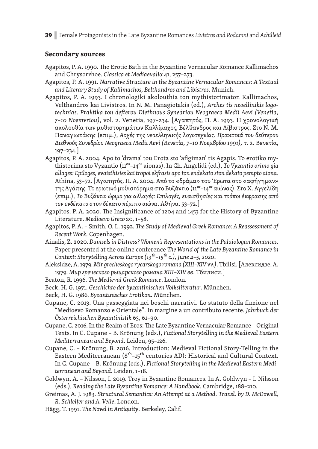39 **|** Female Protagonists in the Late Byzantine Romances *Livistros and Rodamni* and *Achilleid*

# **Secondary sources**

- Agapitos, P. A. 1990. The Erotic Bath in the Byzantine Vernacular Romance Kallimachos and Chrysorrhoe. *Classica et Mediaevaliα* 41, 257–273.
- Agapitos, P. A. 1991. *Narrative Structure in the Byzantine Vernacular Romances: A Textual and Literary Study of Kallimachos, Belthandros and Libistros*. Munich.
- Agapitos, P. A. 1993. I chronologiki akolouthia ton mythistorimaton Kallimachos, Velthandros kai Livistros. In N. M. Panagiotakis (ed.), *Arches tis neoellinikis logotechnias. Praktika tou de§ erou Diethnous Synedriou Neograeca Medii Aevi (Venetia, 7–10 Noemvriou)*, vol. 2. Venetia, 197–234. [Αγαπητός, Π. A. 1993. Η χρονολογική ακολουθία των μυθιστορημάτων Καλλίμαχος, Βέλθανδρος και Λίβιστρος. Στο Ν. M. Παναγιωτάκης (επιμ.), *Αρχές της νεοε\ ηνικής λογοτεχνίας. Πρακτικά του δεύτερου Διεθνούς Συνεδρίου Neograeca Medii Aevi (Βενετία, 7–10 Νοεμβρίου 1991),* τ. 2. Βενετία, 197–234.]
- Agapitos, P. A. 2004. Apo to 'drama' tou Erota sto 'afigiman' tis Agapis. To erotiko mythistorima sto Vyzantio (11ᵒs–14ᵒs aionas). In Ch. Angelidi (ed.), *To Vyzantio orimo gia allages: Epiloges, evaisthisies kai tropoi ekfrasis apo ton endekato ston dekato pempto aiona*. Athina, 53–72. [Αγαπητός, Π. A. 2004. Από το «δράμα» του Έρωτα στο «αφήγημαν» της Αγάπης. Το ερωτικό μυθιστόρημα στο Βυζάντιο (11°ς-14°ς αιώνας). Στο Χ. Αγγελίδη (επιμ.), *Το Βυζάντιο ώριμο για α\ αγές: Επιλογές, ευαισθησίες και τρόποι έκφρασης από τον ενδέκατο στον δέκατο πέμπτο αιώνα*. Αθήνα, 53–72.]
- Agapitos, P. A. 2020. The Insignificance of 1204 and 1453 for the History of Byzantine Literature. *Medioevo Greco* 20, 1–58.
- Agapitos, P. A. Smith, O. L. 1992. *The Study of Medieval Greek Romance: A Reassessment of Recent Work.* Copenhagen.
- Ainalis, Z. 2020. *Damsels in Distress? Women's Representations in the Palaiologan Romances.* Paper presented at the online conference *The World of the Late Byzantine Romance in Context: Storytelling Across Europe (13ᵗh–15ᵗh c.), June 4–5, 2020*.
- Aleksidze, A. 1979. *Mir grecheskogo rycarskogo romana (XIII–XIV vv.)*. Tbilisi. [Алексидзе, А. 1979. *Мир греческого рыцарского романа XIII–XIV вв*. Тбилиси.]
- Beaton, R. 1996. *The Medieval Greek Romance*. London.
- Beck, H. G. 1971. *Geschichte der byzantinischen Volksliteratur*. München.
- Beck, H. G. 1986. *Byzantinisches Erotikon*. München.
- Cupane, C. 2013. Una passeggiata nei boschi narrativi. Lo statuto della finzione nel "Medioevo Romanzo e Orientale". In margine a un contributo recente. *Jahrbuch der Öster reichischen Byzantinistik* 63, 61–90.
- Cupane, C. 2016. In the Realm of Eros: The Late Byzantine Vernacular Romance Original Texts. In C. Cupane – B . Krönung (eds.), *Fictional Storytelling in the Medieval Eastern Mediterranean and Beyond*. Leiden, 95–126.
- Cupane, C. Krönung, B. 2016. Introduction: Medieval Fictional Story-Telling in the Eastern Mediterranean (8<sup>th</sup>-15<sup>th</sup> centuries AD): Historical and Cultural Context. In C. Cupane – B. Krönung (eds.), *Fictional Storytelling in the Medieval Eastern Mediterranean and Beyond*. Leiden, 1–18.
- Goldwyn, A. Nilsson, I. 2019. Troy in Byzantine Romances. In A. Goldwyn I. Nilsson (eds.), *Reading the Late Byzantine Romance*: *A Handbook.* Cambridge, 188–210.
- Greimas, A. J. 1983. *Structural Semantics: An Attempt at a Method*. *Transl. by D. McDowell, R. Schleifer and A. Velie*. London.
- Hägg, T. 1991. *The Novel in Antiquity*. Berkeley, Calif.